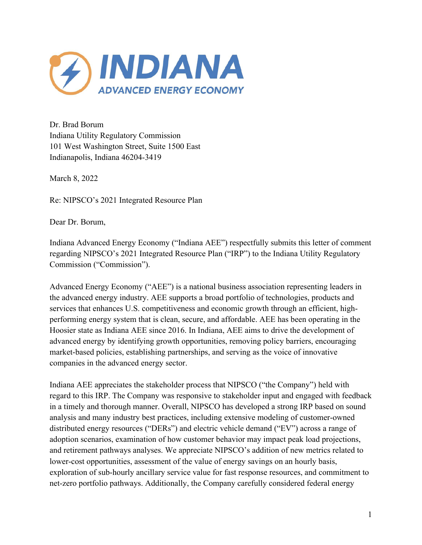

Dr. Brad Borum Indiana Utility Regulatory Commission 101 West Washington Street, Suite 1500 East Indianapolis, Indiana 46204-3419

March 8, 2022

Re: NIPSCO's 2021 Integrated Resource Plan

Dear Dr. Borum,

Indiana Advanced Energy Economy ("Indiana AEE") respectfully submits this letter of comment regarding NIPSCO's 2021 Integrated Resource Plan ("IRP") to the Indiana Utility Regulatory Commission ("Commission").

Advanced Energy Economy ("AEE") is a national business association representing leaders in the advanced energy industry. AEE supports a broad portfolio of technologies, products and services that enhances U.S. competitiveness and economic growth through an efficient, highperforming energy system that is clean, secure, and affordable. AEE has been operating in the Hoosier state as Indiana AEE since 2016. In Indiana, AEE aims to drive the development of advanced energy by identifying growth opportunities, removing policy barriers, encouraging market-based policies, establishing partnerships, and serving as the voice of innovative companies in the advanced energy sector.

Indiana AEE appreciates the stakeholder process that NIPSCO ("the Company") held with regard to this IRP. The Company was responsive to stakeholder input and engaged with feedback in a timely and thorough manner. Overall, NIPSCO has developed a strong IRP based on sound analysis and many industry best practices, including extensive modeling of customer-owned distributed energy resources ("DERs") and electric vehicle demand ("EV") across a range of adoption scenarios, examination of how customer behavior may impact peak load projections, and retirement pathways analyses. We appreciate NIPSCO's addition of new metrics related to lower-cost opportunities, assessment of the value of energy savings on an hourly basis, exploration of sub-hourly ancillary service value for fast response resources, and commitment to net-zero portfolio pathways. Additionally, the Company carefully considered federal energy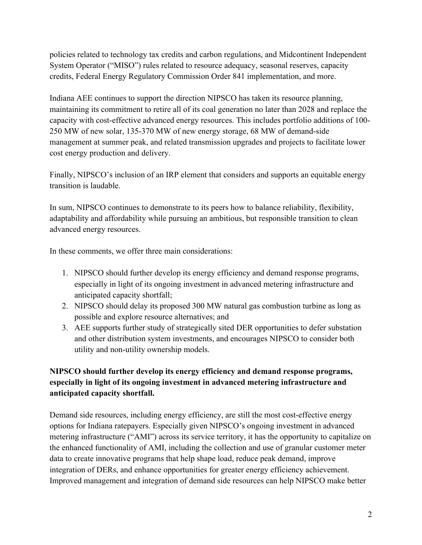policies related to technology tax credits and carbon regulations, and Midcontinent Independent System Operator ("MISO") rules related to resource adequacy, seasonal reserves, capacity credits, Federal Energy Regulatory Commission Order 841 implementation, and more.

Indiana AEE continues to support the direction NIPSCO has taken its resource planning, maintaining its commitment to retire all of its coal generation no later than 2028 and replace the capacity with cost-effective advanced energy resources. This includes portfolio additions of 100- 250 MW of new solar, 135-370 MW of new energy storage, 68 MW of demand-side management at summer peak, and related transmission upgrades and projects to facilitate lower cost energy production and delivery.

Finally, NIPSCO's inclusion of an IRP element that considers and supports an equitable energy transition is laudable.

In sum, NIPSCO continues to demonstrate to its peers how to balance reliability, flexibility, adaptability and affordability while pursuing an ambitious, but responsible transition to clean advanced energy resources.

In these comments, we offer three main considerations:

- 1. NIPSCO should further develop its energy efficiency and demand response programs, especially in light of its ongoing investment in advanced metering infrastructure and anticipated capacity shortfall;
- 2. NIPSCO should delay its proposed 300 MW natural gas combustion turbine as long as possible and explore resource alternatives; and
- 3. AEE supports further study of strategically sited DER opportunities to defer substation and other distribution system investments, and encourages NIPSCO to consider both utility and non-utility ownership models.

## **NIPSCO should further develop its energy efficiency and demand response programs, especially in light of its ongoing investment in advanced metering infrastructure and anticipated capacity shortfall.**

Demand side resources, including energy efficiency, are still the most cost-effective energy options for Indiana ratepayers. Especially given NIPSCO's ongoing investment in advanced metering infrastructure ("AMI") across its service territory, it has the opportunity to capitalize on the enhanced functionality of AMI, including the collection and use of granular customer meter data to create innovative programs that help shape load, reduce peak demand, improve integration of DERs, and enhance opportunities for greater energy efficiency achievement. Improved management and integration of demand side resources can help NIPSCO make better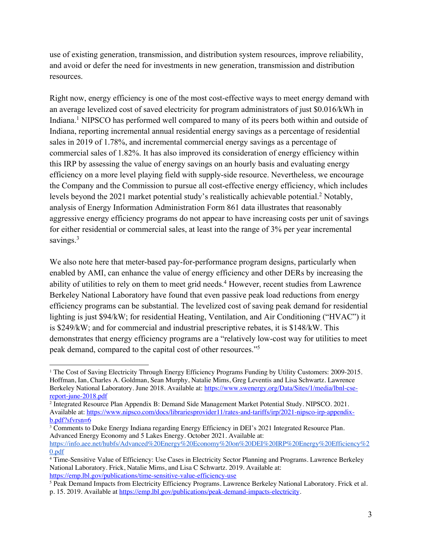use of existing generation, transmission, and distribution system resources, improve reliability, and avoid or defer the need for investments in new generation, transmission and distribution resources.

Right now, energy efficiency is one of the most cost-effective ways to meet energy demand with an average levelized cost of saved electricity for program administrators of just \$0.016/kWh in Indiana.<sup>1</sup> NIPSCO has performed well compared to many of its peers both within and outside of Indiana, reporting incremental annual residential energy savings as a percentage of residential sales in 2019 of 1.78%, and incremental commercial energy savings as a percentage of commercial sales of 1.82%. It has also improved its consideration of energy efficiency within this IRP by assessing the value of energy savings on an hourly basis and evaluating energy efficiency on a more level playing field with supply-side resource. Nevertheless, we encourage the Company and the Commission to pursue all cost-effective energy efficiency, which includes levels beyond the 2021 market potential study's realistically achievable potential.<sup>2</sup> Notably, analysis of Energy Information Administration Form 861 data illustrates that reasonably aggressive energy efficiency programs do not appear to have increasing costs per unit of savings for either residential or commercial sales, at least into the range of 3% per year incremental savings.<sup>3</sup>

We also note here that meter-based pay-for-performance program designs, particularly when enabled by AMI, can enhance the value of energy efficiency and other DERs by increasing the ability of utilities to rely on them to meet grid needs.<sup>4</sup> However, recent studies from Lawrence Berkeley National Laboratory have found that even passive peak load reductions from energy efficiency programs can be substantial. The levelized cost of saving peak demand for residential lighting is just \$94/kW; for residential Heating, Ventilation, and Air Conditioning ("HVAC") it is \$249/kW; and for commercial and industrial prescriptive rebates, it is \$148/kW. This demonstrates that energy efficiency programs are a "relatively low-cost way for utilities to meet peak demand, compared to the capital cost of other resources."5

<sup>1</sup> The Cost of Saving Electricity Through Energy Efficiency Programs Funding by Utility Customers: 2009-2015. Hoffman, Ian, Charles A. Goldman, Sean Murphy, Natalie Mims, Greg Leventis and Lisa Schwartz. Lawrence Berkeley National Laboratory. June 2018. Available at: https://www.swenergy.org/Data/Sites/1/media/lbnl-csereport-june-2018.pdf

<sup>2</sup> Integrated Resource Plan Appendix B: Demand Side Management Market Potential Study. NIPSCO. 2021. Available at: https://www.nipsco.com/docs/librariesprovider11/rates-and-tariffs/irp/2021-nipsco-irp-appendixb.pdf?sfvrsn=6

<sup>&</sup>lt;sup>3</sup> Comments to Duke Energy Indiana regarding Energy Efficiency in DEI's 2021 Integrated Resource Plan. Advanced Energy Economy and 5 Lakes Energy. October 2021. Available at:

https://info.aee.net/hubfs/Advanced%20Energy%20Economy%20on%20DEI%20IRP%20Energy%20Efficiency%2 0.pdf

<sup>4</sup> Time-Sensitive Value of Efficiency: Use Cases in Electricity Sector Planning and Programs. Lawrence Berkeley National Laboratory. Frick, Natalie Mims, and Lisa C Schwartz. 2019. Available at: https://emp.lbl.gov/publications/time-sensitive-value-efficiency-use

<sup>5</sup> Peak Demand Impacts from Electricity Efficiency Programs. Lawrence Berkeley National Laboratory. Frick et al. p. 15. 2019. Available at https://emp.lbl.gov/publications/peak-demand-impacts-electricity.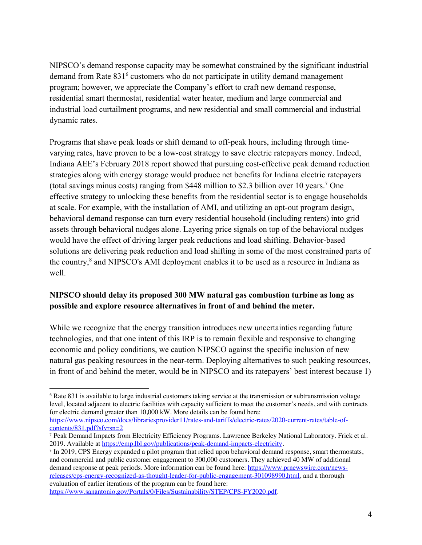NIPSCO's demand response capacity may be somewhat constrained by the significant industrial demand from Rate 831<sup>6</sup> customers who do not participate in utility demand management program; however, we appreciate the Company's effort to craft new demand response, residential smart thermostat, residential water heater, medium and large commercial and industrial load curtailment programs, and new residential and small commercial and industrial dynamic rates.

Programs that shave peak loads or shift demand to off-peak hours, including through timevarying rates, have proven to be a low-cost strategy to save electric ratepayers money. Indeed, Indiana AEE's February 2018 report showed that pursuing cost-effective peak demand reduction strategies along with energy storage would produce net benefits for Indiana electric ratepayers (total savings minus costs) ranging from \$448 million to \$2.3 billion over 10 years.7 One effective strategy to unlocking these benefits from the residential sector is to engage households at scale. For example, with the installation of AMI, and utilizing an opt-out program design, behavioral demand response can turn every residential household (including renters) into grid assets through behavioral nudges alone. Layering price signals on top of the behavioral nudges would have the effect of driving larger peak reductions and load shifting. Behavior-based solutions are delivering peak reduction and load shifting in some of the most constrained parts of the country,<sup>8</sup> and NIPSCO's AMI deployment enables it to be used as a resource in Indiana as well.

## **NIPSCO should delay its proposed 300 MW natural gas combustion turbine as long as possible and explore resource alternatives in front of and behind the meter.**

While we recognize that the energy transition introduces new uncertainties regarding future technologies, and that one intent of this IRP is to remain flexible and responsive to changing economic and policy conditions, we caution NIPSCO against the specific inclusion of new natural gas peaking resources in the near-term. Deploying alternatives to such peaking resources, in front of and behind the meter, would be in NIPSCO and its ratepayers' best interest because 1)

<sup>6</sup> Rate 831 is available to large industrial customers taking service at the transmission or subtransmission voltage level, located adjacent to electric facilities with capacity sufficient to meet the customer's needs, and with contracts for electric demand greater than 10,000 kW. More details can be found here:

https://www.nipsco.com/docs/librariesprovider11/rates-and-tariffs/electric-rates/2020-current-rates/table-ofcontents/831.pdf?sfvrsn=2

<sup>7</sup> Peak Demand Impacts from Electricity Efficiency Programs. Lawrence Berkeley National Laboratory. Frick et al. 2019. Available at https://emp.lbl.gov/publications/peak-demand-impacts-electricity.

<sup>8</sup> In 2019, CPS Energy expanded a pilot program that relied upon behavioral demand response, smart thermostats, and commercial and public customer engagement to 300,000 customers. They achieved 40 MW of additional demand response at peak periods. More information can be found here: https://www.prnewswire.com/newsreleases/cps-energy-recognized-as-thought-leader-for-public-engagement-301098990.html, and a thorough evaluation of earlier iterations of the program can be found here:

https://www.sanantonio.gov/Portals/0/Files/Sustainability/STEP/CPS-FY2020.pdf.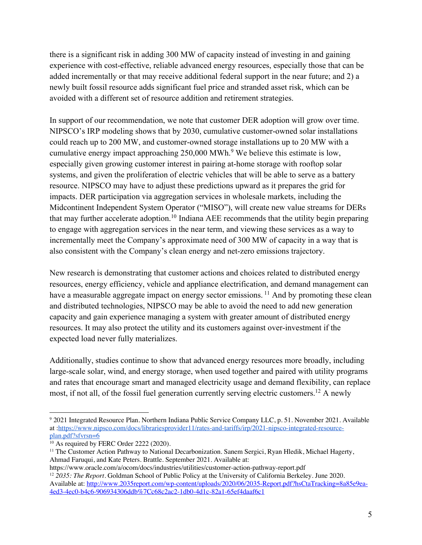there is a significant risk in adding 300 MW of capacity instead of investing in and gaining experience with cost-effective, reliable advanced energy resources, especially those that can be added incrementally or that may receive additional federal support in the near future; and 2) a newly built fossil resource adds significant fuel price and stranded asset risk, which can be avoided with a different set of resource addition and retirement strategies.

In support of our recommendation, we note that customer DER adoption will grow over time. NIPSCO's IRP modeling shows that by 2030, cumulative customer-owned solar installations could reach up to 200 MW, and customer-owned storage installations up to 20 MW with a cumulative energy impact approaching 250,000 MWh.<sup>9</sup> We believe this estimate is low, especially given growing customer interest in pairing at-home storage with rooftop solar systems, and given the proliferation of electric vehicles that will be able to serve as a battery resource. NIPSCO may have to adjust these predictions upward as it prepares the grid for impacts. DER participation via aggregation services in wholesale markets, including the Midcontinent Independent System Operator ("MISO"), will create new value streams for DERs that may further accelerate adoption.<sup>10</sup> Indiana AEE recommends that the utility begin preparing to engage with aggregation services in the near term, and viewing these services as a way to incrementally meet the Company's approximate need of 300 MW of capacity in a way that is also consistent with the Company's clean energy and net-zero emissions trajectory.

New research is demonstrating that customer actions and choices related to distributed energy resources, energy efficiency, vehicle and appliance electrification, and demand management can have a measurable aggregate impact on energy sector emissions.<sup>11</sup> And by promoting these clean and distributed technologies, NIPSCO may be able to avoid the need to add new generation capacity and gain experience managing a system with greater amount of distributed energy resources. It may also protect the utility and its customers against over-investment if the expected load never fully materializes.

Additionally, studies continue to show that advanced energy resources more broadly, including large-scale solar, wind, and energy storage, when used together and paired with utility programs and rates that encourage smart and managed electricity usage and demand flexibility, can replace most, if not all, of the fossil fuel generation currently serving electric customers.<sup>12</sup> A newly

<sup>9</sup> 2021 Integrated Resource Plan. Northern Indiana Public Service Company LLC, p. 51. November 2021. Available at :https://www.nipsco.com/docs/librariesprovider11/rates-and-tariffs/irp/2021-nipsco-integrated-resourceplan.pdf?sfvrsn=6

<sup>&</sup>lt;sup>10</sup> As required by FERC Order 2222 (2020).

<sup>&</sup>lt;sup>11</sup> The Customer Action Pathway to National Decarbonization. Sanem Sergici, Ryan Hledik, Michael Hagerty, Ahmad Faruqui, and Kate Peters. Brattle. September 2021. Available at:

https://www.oracle.com/a/ocom/docs/industries/utilities/customer-action-pathway-report.pdf <sup>12</sup> *2035: The Report*. Goldman School of Public Policy at the University of California Berkeley. June 2020. Available at: http://www.2035report.com/wp-content/uploads/2020/06/2035-Report.pdf?hsCtaTracking=8a85e9ea-4ed3-4ec0-b4c6-906934306ddb%7Cc68c2ac2-1db0-4d1c-82a1-65ef4daaf6c1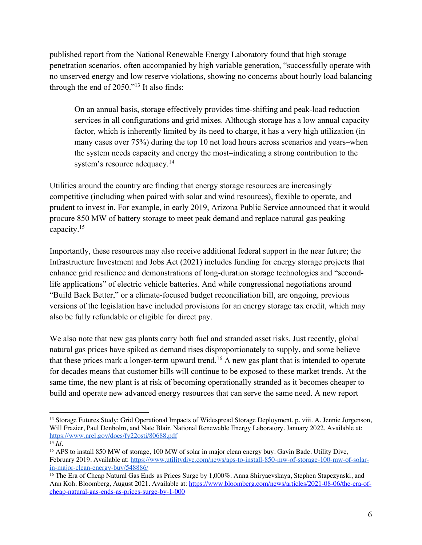published report from the National Renewable Energy Laboratory found that high storage penetration scenarios, often accompanied by high variable generation, "successfully operate with no unserved energy and low reserve violations, showing no concerns about hourly load balancing through the end of 2050."13 It also finds:

On an annual basis, storage effectively provides time-shifting and peak-load reduction services in all configurations and grid mixes. Although storage has a low annual capacity factor, which is inherently limited by its need to charge, it has a very high utilization (in many cases over 75%) during the top 10 net load hours across scenarios and years–when the system needs capacity and energy the most–indicating a strong contribution to the system's resource adequacy.<sup>14</sup>

Utilities around the country are finding that energy storage resources are increasingly competitive (including when paired with solar and wind resources), flexible to operate, and prudent to invest in. For example, in early 2019, Arizona Public Service announced that it would procure 850 MW of battery storage to meet peak demand and replace natural gas peaking capacity.15

Importantly, these resources may also receive additional federal support in the near future; the Infrastructure Investment and Jobs Act (2021) includes funding for energy storage projects that enhance grid resilience and demonstrations of long-duration storage technologies and "secondlife applications" of electric vehicle batteries. And while congressional negotiations around "Build Back Better," or a climate-focused budget reconciliation bill, are ongoing, previous versions of the legislation have included provisions for an energy storage tax credit, which may also be fully refundable or eligible for direct pay.

We also note that new gas plants carry both fuel and stranded asset risks. Just recently, global natural gas prices have spiked as demand rises disproportionately to supply, and some believe that these prices mark a longer-term upward trend.<sup>16</sup> A new gas plant that is intended to operate for decades means that customer bills will continue to be exposed to these market trends. At the same time, the new plant is at risk of becoming operationally stranded as it becomes cheaper to build and operate new advanced energy resources that can serve the same need. A new report

<sup>&</sup>lt;sup>13</sup> Storage Futures Study: Grid Operational Impacts of Widespread Storage Deployment, p. viii. A. Jennie Jorgenson, Will Frazier, Paul Denholm, and Nate Blair. National Renewable Energy Laboratory. January 2022. Available at: https://www.nrel.gov/docs/fy22osti/80688.pdf

<sup>14</sup> *Id.*

<sup>15</sup> APS to install 850 MW of storage, 100 MW of solar in major clean energy buy. Gavin Bade. Utility Dive, February 2019. Available at: https://www.utilitydive.com/news/aps-to-install-850-mw-of-storage-100-mw-of-solarin-major-clean-energy-buy/548886/

<sup>16</sup> The Era of Cheap Natural Gas Ends as Prices Surge by 1,000%. Anna Shiryaevskaya, Stephen Stapczynski, and Ann Koh. Bloomberg, August 2021. Available at: https://www.bloomberg.com/news/articles/2021-08-06/the-era-ofcheap-natural-gas-ends-as-prices-surge-by-1-000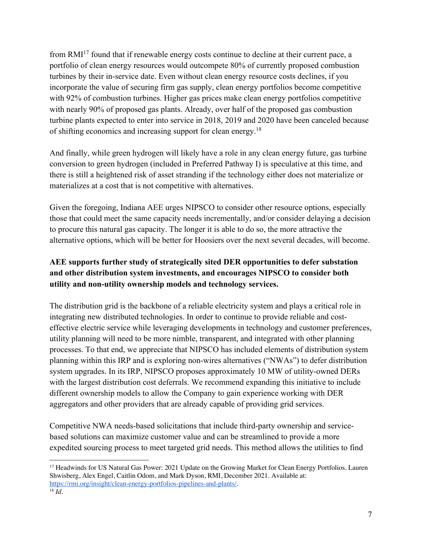from RMI<sup>17</sup> found that if renewable energy costs continue to decline at their current pace, a portfolio of clean energy resources would outcompete 80% of currently proposed combustion turbines by their in-service date. Even without clean energy resource costs declines, if you incorporate the value of securing firm gas supply, clean energy portfolios become competitive with 92% of combustion turbines. Higher gas prices make clean energy portfolios competitive with nearly 90% of proposed gas plants. Already, over half of the proposed gas combustion turbine plants expected to enter into service in 2018, 2019 and 2020 have been canceled because of shifting economics and increasing support for clean energy.18

And finally, while green hydrogen will likely have a role in any clean energy future, gas turbine conversion to green hydrogen (included in Preferred Pathway I) is speculative at this time, and there is still a heightened risk of asset stranding if the technology either does not materialize or materializes at a cost that is not competitive with alternatives.

Given the foregoing, Indiana AEE urges NIPSCO to consider other resource options, especially those that could meet the same capacity needs incrementally, and/or consider delaying a decision to procure this natural gas capacity. The longer it is able to do so, the more attractive the alternative options, which will be better for Hoosiers over the next several decades, will become.

## **AEE supports further study of strategically sited DER opportunities to defer substation and other distribution system investments, and encourages NIPSCO to consider both utility and non-utility ownership models and technology services.**

The distribution grid is the backbone of a reliable electricity system and plays a critical role in integrating new distributed technologies. In order to continue to provide reliable and costeffective electric service while leveraging developments in technology and customer preferences, utility planning will need to be more nimble, transparent, and integrated with other planning processes. To that end, we appreciate that NIPSCO has included elements of distribution system planning within this IRP and is exploring non-wires alternatives ("NWAs") to defer distribution system upgrades. In its IRP, NIPSCO proposes approximately 10 MW of utility-owned DERs with the largest distribution cost deferrals. We recommend expanding this initiative to include different ownership models to allow the Company to gain experience working with DER aggregators and other providers that are already capable of providing grid services.

Competitive NWA needs-based solicitations that include third-party ownership and servicebased solutions can maximize customer value and can be streamlined to provide a more expedited sourcing process to meet targeted grid needs. This method allows the utilities to find

<sup>&</sup>lt;sup>17</sup> Headwinds for US Natural Gas Power: 2021 Update on the Growing Market for Clean Energy Portfolios. Lauren Shwisberg, Alex Engel, Caitlin Odom, and Mark Dyson, RMI, December 2021. Available at: https://rmi.org/insight/clean-energy-portfolios-pipelines-and-plants/. 18 *Id.*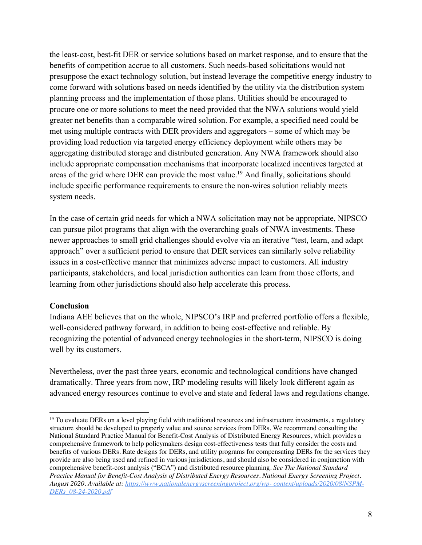the least-cost, best-fit DER or service solutions based on market response, and to ensure that the benefits of competition accrue to all customers. Such needs-based solicitations would not presuppose the exact technology solution, but instead leverage the competitive energy industry to come forward with solutions based on needs identified by the utility via the distribution system planning process and the implementation of those plans. Utilities should be encouraged to procure one or more solutions to meet the need provided that the NWA solutions would yield greater net benefits than a comparable wired solution. For example, a specified need could be met using multiple contracts with DER providers and aggregators – some of which may be providing load reduction via targeted energy efficiency deployment while others may be aggregating distributed storage and distributed generation. Any NWA framework should also include appropriate compensation mechanisms that incorporate localized incentives targeted at areas of the grid where DER can provide the most value.<sup>19</sup> And finally, solicitations should include specific performance requirements to ensure the non-wires solution reliably meets system needs.

In the case of certain grid needs for which a NWA solicitation may not be appropriate, NIPSCO can pursue pilot programs that align with the overarching goals of NWA investments. These newer approaches to small grid challenges should evolve via an iterative "test, learn, and adapt approach" over a sufficient period to ensure that DER services can similarly solve reliability issues in a cost-effective manner that minimizes adverse impact to customers. All industry participants, stakeholders, and local jurisdiction authorities can learn from those efforts, and learning from other jurisdictions should also help accelerate this process.

## **Conclusion**

Indiana AEE believes that on the whole, NIPSCO's IRP and preferred portfolio offers a flexible, well-considered pathway forward, in addition to being cost-effective and reliable. By recognizing the potential of advanced energy technologies in the short-term, NIPSCO is doing well by its customers.

Nevertheless, over the past three years, economic and technological conditions have changed dramatically. Three years from now, IRP modeling results will likely look different again as advanced energy resources continue to evolve and state and federal laws and regulations change.

<sup>&</sup>lt;sup>19</sup> To evaluate DERs on a level playing field with traditional resources and infrastructure investments, a regulatory structure should be developed to properly value and source services from DERs. We recommend consulting the National Standard Practice Manual for Benefit-Cost Analysis of Distributed Energy Resources, which provides a comprehensive framework to help policymakers design cost-effectiveness tests that fully consider the costs and benefits of various DERs. Rate designs for DERs, and utility programs for compensating DERs for the services they provide are also being used and refined in various jurisdictions, and should also be considered in conjunction with comprehensive benefit-cost analysis ("BCA") and distributed resource planning. *See The National Standard Practice Manual for Benefit-Cost Analysis of Distributed Energy Resources. National Energy Screening Project. August 2020. Available at: https://www.nationalenergyscreeningproject.org/wp- content/uploads/2020/08/NSPM-DERs\_08-24-2020.pdf*